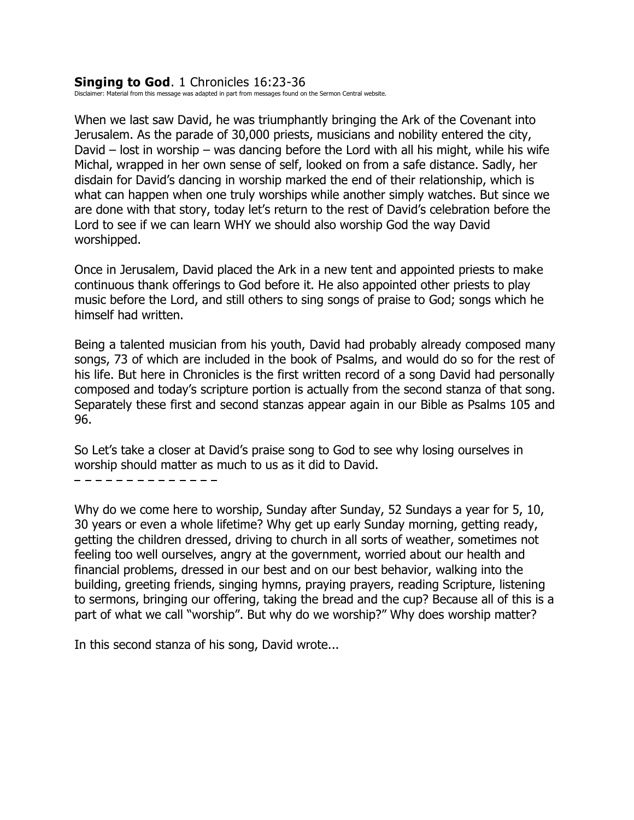#### **Singing to God**. 1 Chronicles 16:23-36

Disclaimer: Material from this message was adapted in part from messages found on the Sermon Central website.

When we last saw David, he was triumphantly bringing the Ark of the Covenant into Jerusalem. As the parade of 30,000 priests, musicians and nobility entered the city, David – lost in worship – was dancing before the Lord with all his might, while his wife Michal, wrapped in her own sense of self, looked on from a safe distance. Sadly, her disdain for David's dancing in worship marked the end of their relationship, which is what can happen when one truly worships while another simply watches. But since we are done with that story, today let's return to the rest of David's celebration before the Lord to see if we can learn WHY we should also worship God the way David worshipped.

Once in Jerusalem, David placed the Ark in a new tent and appointed priests to make continuous thank offerings to God before it. He also appointed other priests to play music before the Lord, and still others to sing songs of praise to God; songs which he himself had written.

Being a talented musician from his youth, David had probably already composed many songs, 73 of which are included in the book of Psalms, and would do so for the rest of his life. But here in Chronicles is the first written record of a song David had personally composed and today's scripture portion is actually from the second stanza of that song. Separately these first and second stanzas appear again in our Bible as Psalms 105 and 96.

So Let's take a closer at David's praise song to God to see why losing ourselves in worship should matter as much to us as it did to David.

- - - - - - - - - - - -

Why do we come here to worship, Sunday after Sunday, 52 Sundays a year for 5, 10, 30 years or even a whole lifetime? Why get up early Sunday morning, getting ready, getting the children dressed, driving to church in all sorts of weather, sometimes not feeling too well ourselves, angry at the government, worried about our health and financial problems, dressed in our best and on our best behavior, walking into the building, greeting friends, singing hymns, praying prayers, reading Scripture, listening to sermons, bringing our offering, taking the bread and the cup? Because all of this is a part of what we call "worship". But why do we worship?" Why does worship matter?

In this second stanza of his song, David wrote...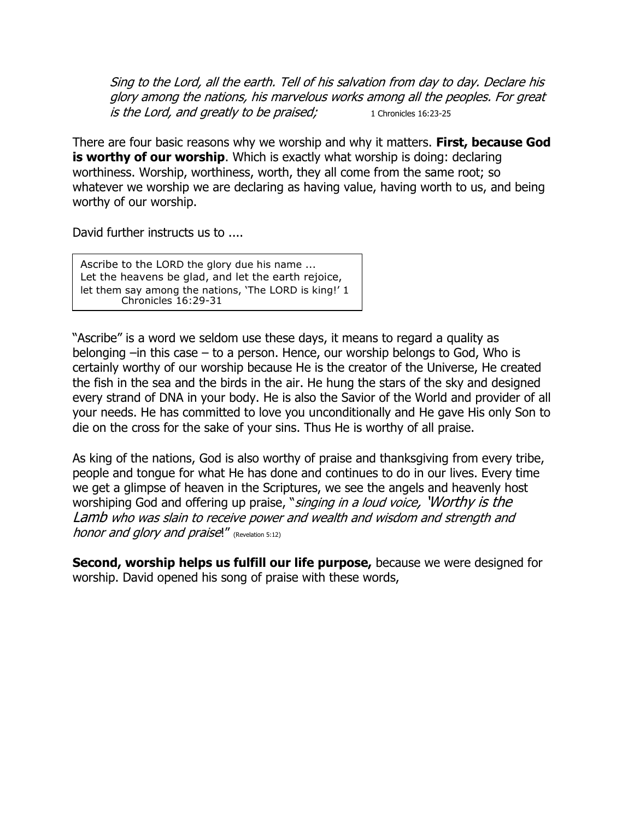Sing to the Lord, all the earth. Tell of his salvation from day to day. Declare his glory among the nations, his marvelous works among all the peoples. For great is the Lord, and greatly to be praised; 1 Chronicles 16:23-25

There are four basic reasons why we worship and why it matters. **First, because God is worthy of our worship.** Which is exactly what worship is doing: declaring worthiness. Worship, worthiness, worth, they all come from the same root; so whatever we worship we are declaring as having value, having worth to us, and being worthy of our worship.

David further instructs us to ....

Ascribe to the LORD the glory due his name ... Let the heavens be glad, and let the earth rejoice, let them say among the nations, 'The LORD is king!' 1 Chronicles 16:29-31

"Ascribe" is a word we seldom use these days, it means to regard a quality as belonging –in this case – to a person. Hence, our worship belongs to God, Who is certainly worthy of our worship because He is the creator of the Universe, He created the fish in the sea and the birds in the air. He hung the stars of the sky and designed every strand of DNA in your body. He is also the Savior of the World and provider of all your needs. He has committed to love you unconditionally and He gave His only Son to die on the cross for the sake of your sins. Thus He is worthy of all praise.

As king of the nations, God is also worthy of praise and thanksgiving from every tribe, people and tongue for what He has done and continues to do in our lives. Every time we get a glimpse of heaven in the Scriptures, we see the angels and heavenly host worshiping God and offering up praise, "singing in a loud voice, 'Worthy is the Lamb who was slain to receive power and wealth and wisdom and strength and honor and glory and praise!" (Revelation 5:12)

**Second, worship helps us fulfill our life purpose,** because we were designed for worship. David opened his song of praise with these words,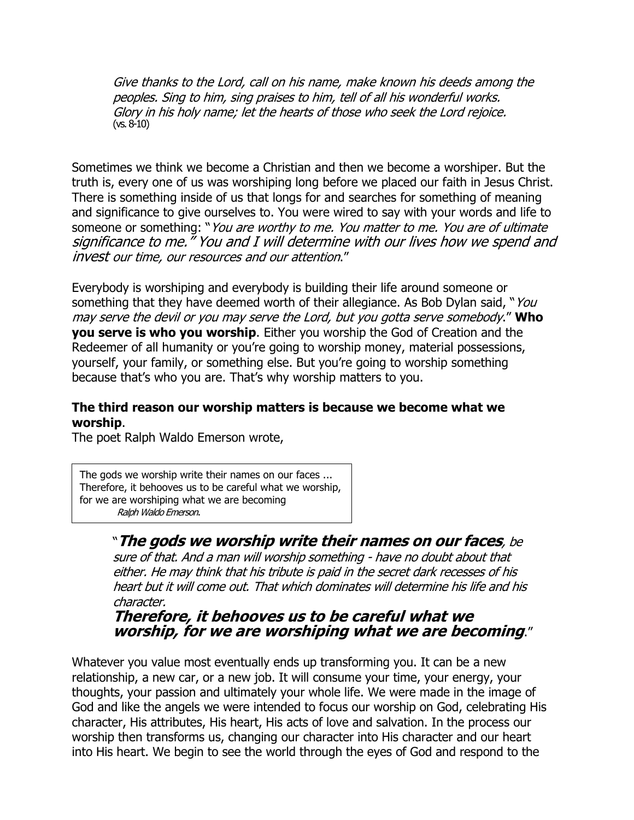Give thanks to the Lord, call on his name, make known his deeds among the peoples. Sing to him, sing praises to him, tell of all his wonderful works. Glory in his holy name; let the hearts of those who seek the Lord rejoice. (vs. 8-10)

Sometimes we think we become a Christian and then we become a worshiper. But the truth is, every one of us was worshiping long before we placed our faith in Jesus Christ. There is something inside of us that longs for and searches for something of meaning and significance to give ourselves to. You were wired to say with your words and life to someone or something: "You are worthy to me. You matter to me. You are of ultimate significance to me.<sup>"</sup> You and I will determine with our lives how we spend and invest our time, our resources and our attention."

Everybody is worshiping and everybody is building their life around someone or something that they have deemed worth of their allegiance. As Bob Dylan said, "You may serve the devil or you may serve the Lord, but you gotta serve somebody." **Who you serve is who you worship**. Either you worship the God of Creation and the Redeemer of all humanity or you're going to worship money, material possessions, yourself, your family, or something else. But you're going to worship something because that's who you are. That's why worship matters to you.

### **The third reason our worship matters is because we become what we worship**.

The poet Ralph Waldo Emerson wrote,

The gods we worship write their names on our faces ... Therefore, it behooves us to be careful what we worship, for we are worshiping what we are becoming Ralph Waldo Emerson.

# "**The gods we worship write their names on our faces**, be

sure of that. And a man will worship something - have no doubt about that either. He may think that his tribute is paid in the secret dark recesses of his heart but it will come out. That which dominates will determine his life and his character.

## **Therefore, it behooves us to be careful what we worship, for we are worshiping what we are becoming**."

Whatever you value most eventually ends up transforming you. It can be a new relationship, a new car, or a new job. It will consume your time, your energy, your thoughts, your passion and ultimately your whole life. We were made in the image of God and like the angels we were intended to focus our worship on God, celebrating His character, His attributes, His heart, His acts of love and salvation. In the process our worship then transforms us, changing our character into His character and our heart into His heart. We begin to see the world through the eyes of God and respond to the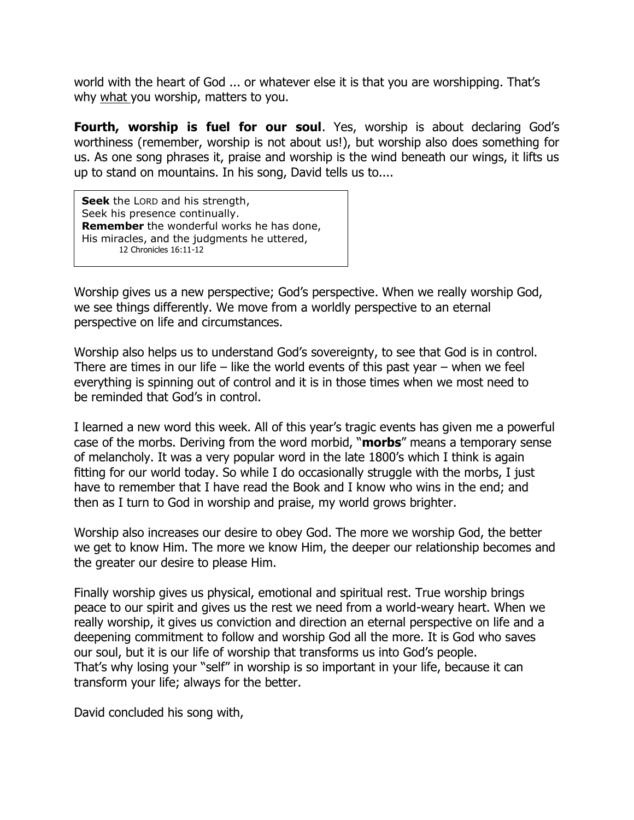world with the heart of God ... or whatever else it is that you are worshipping. That's why what you worship, matters to you.

**Fourth, worship is fuel for our soul**. Yes, worship is about declaring God's worthiness (remember, worship is not about us!), but worship also does something for us. As one song phrases it, praise and worship is the wind beneath our wings, it lifts us up to stand on mountains. In his song, David tells us to....

**Seek** the LORD and his strength, Seek his presence continually. **Remember** the wonderful works he has done, His miracles, and the judgments he uttered, 12 Chronicles 16:11-12

Worship gives us a new perspective; God's perspective. When we really worship God, we see things differently. We move from a worldly perspective to an eternal perspective on life and circumstances.

Worship also helps us to understand God's sovereignty, to see that God is in control. There are times in our life – like the world events of this past year – when we feel everything is spinning out of control and it is in those times when we most need to be reminded that God's in control.

I learned a new word this week. All of this year's tragic events has given me a powerful case of the morbs. Deriving from the word morbid, "**morbs**" means a temporary sense of melancholy. It was a very popular word in the late 1800's which I think is again fitting for our world today. So while I do occasionally struggle with the morbs, I just have to remember that I have read the Book and I know who wins in the end; and then as I turn to God in worship and praise, my world grows brighter.

Worship also increases our desire to obey God. The more we worship God, the better we get to know Him. The more we know Him, the deeper our relationship becomes and the greater our desire to please Him.

Finally worship gives us physical, emotional and spiritual rest. True worship brings peace to our spirit and gives us the rest we need from a world-weary heart. When we really worship, it gives us conviction and direction an eternal perspective on life and a deepening commitment to follow and worship God all the more. It is God who saves our soul, but it is our life of worship that transforms us into God's people. That's why losing your "self" in worship is so important in your life, because it can transform your life; always for the better.

David concluded his song with,